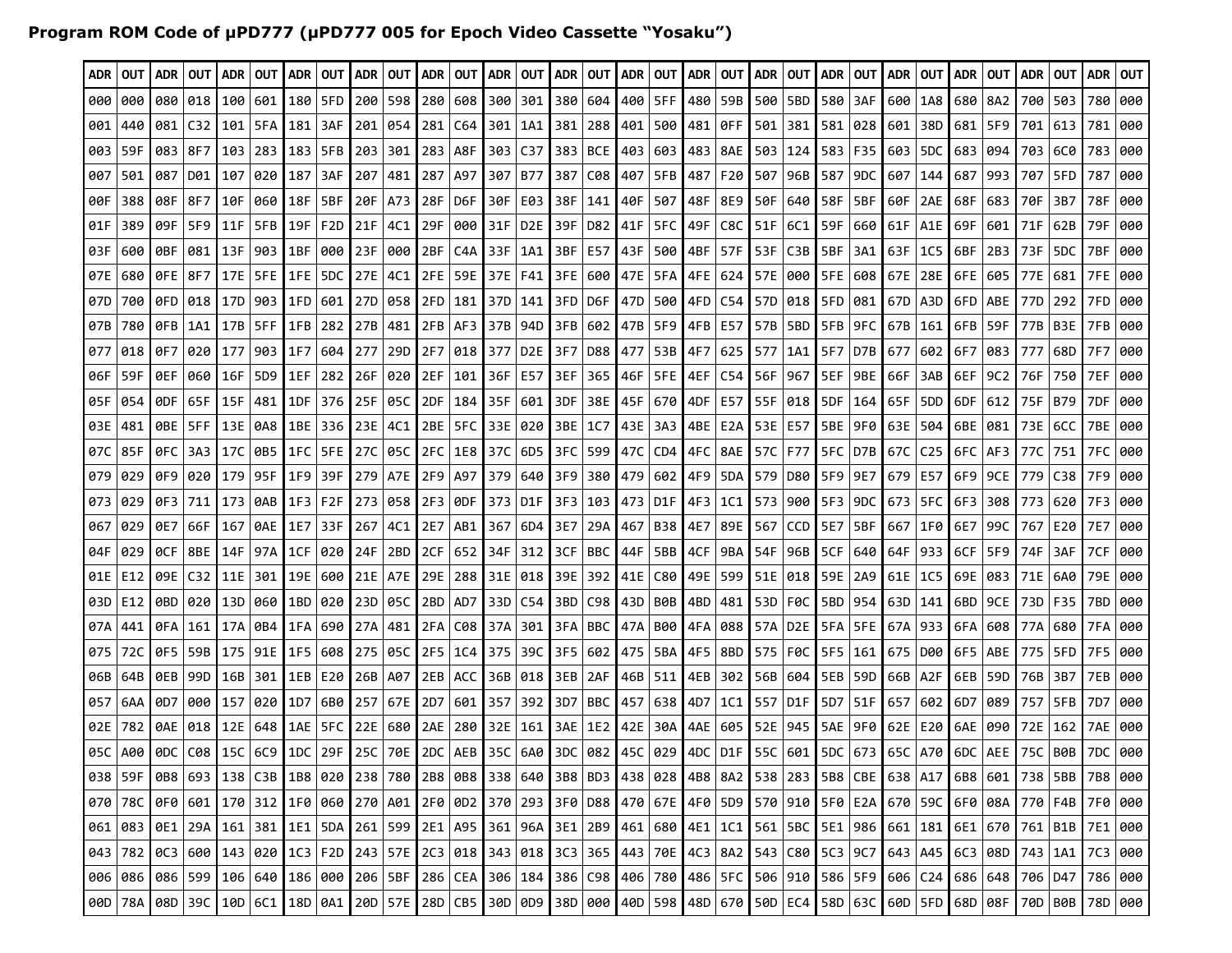## **Program ROM Code of µPD777 (µPD777 005 for Epoch Video Cassette "Yosaku")**

| ADR  | OUT                                                                                                                                                                               | ADR 1   | <b>OUT</b>      | <b>ADR</b> | <b>OUT</b>      | ADR | OUT              | ADR       |                             | OUT   ADR   OUT |                        | ADR   OUT |                 | ADR     |                 | OUT   ADR         | OUT                         |                 | ADR   OUT                                                 | ADR       |                                   | OUT   ADR       | OUT                   |           | ADR OUT           | I ADR     | OUT I                                                                                                                                                                 | I ADR    | <b>OUT</b>                                                                                                              | ADR | OUT       |
|------|-----------------------------------------------------------------------------------------------------------------------------------------------------------------------------------|---------|-----------------|------------|-----------------|-----|------------------|-----------|-----------------------------|-----------------|------------------------|-----------|-----------------|---------|-----------------|-------------------|-----------------------------|-----------------|-----------------------------------------------------------|-----------|-----------------------------------|-----------------|-----------------------|-----------|-------------------|-----------|-----------------------------------------------------------------------------------------------------------------------------------------------------------------------|----------|-------------------------------------------------------------------------------------------------------------------------|-----|-----------|
| 000  | 000                                                                                                                                                                               | 080     | 018             | 100        | 601             | 180 | 5FD              | 200       | 598                         | 280             | 608                    | 300       | 301             | 380     | 604             |                   | 400   5FF                   | 480             | 59B                                                       | 500       | 5BD                               | 580             | 3AF                   | 600       | $\overline{1}$ A8 | 680       | 8A2                                                                                                                                                                   | 700      | 503                                                                                                                     | 780 | 000       |
| 001  | 440                                                                                                                                                                               | 081     | C32             | 101        | 5FA             | 181 | 3AF              | 201       | 054                         | 281             | C64                    | 301       | 1A1             | 381     | 288             |                   | 401   500                   | 481             | ∣0FF                                                      | 501       | 381                               |                 | 581 028               | 601       | 38D               | 681       | 5F9                                                                                                                                                                   | 701      | 613                                                                                                                     | 781 | 000       |
| 003  | 59F                                                                                                                                                                               |         | 083 8F7         | 103        | 283             | 183 | 5FB              | 203       | 301                         |                 | 283   A8F              | 303       | C37             | 383     | <b>BCE</b>      |                   | 403 603 483 8AE             |                 |                                                           | 503       | 124                               |                 | 583 F35               | 603       | 5DC               | 683       | 094                                                                                                                                                                   | 703      | 6C0                                                                                                                     | 783 | 000       |
| 007  | 501                                                                                                                                                                               | 087     | D01             | 107        | 020             | 187 | 3AF              | 207       | 481                         | 287             | A97                    | 307       | <b>B77</b>      | 387     |                 | $C08$   407   5FB |                             | 487             | F20                                                       | 507       | 96B                               | 587             | 9DC                   | 607       | 144               | 687       | 993                                                                                                                                                                   | 707      | 5FD                                                                                                                     | 787 | 000       |
| 00 F | 388                                                                                                                                                                               |         | 08F 8F7         | 10F        | 060             | 18F | 5BF              |           | 20F   A73                   |                 | 28F   D6F              | l 30F     | E03             | l 38F   |                 | 141   40F         | 507                         | 48F             | 8E9                                                       | l 50F     | 640                               | 58F             | 5BF                   | 60F       | 2AE               | 68F       | 683                                                                                                                                                                   | 70F      | 3B7                                                                                                                     | 78F | 000       |
| 01F  | 389                                                                                                                                                                               | 09F I   | 5F9             | 11F        | 5FB             | 19F | F <sub>2</sub> D | 21F       | 4C1                         | 29F             | 000   31F              |           | D <sub>2E</sub> | 39F     |                 |                   | D82   41F   5FC   49F       |                 | C8C                                                       | I 51F     | 6C1                               |                 | 59F 660               | 61F       | A1E               | 69F       | 601                                                                                                                                                                   | 71F      | 62B                                                                                                                     | 79F | 000       |
| 03F  | 600                                                                                                                                                                               | 0BF.    | 081             | 13F        | 903             | 1BF | 000              | 23F       | 000                         | 2BF             | C4A                    | 33F       | 1A1             | 3BF     |                 | E57   43F   500   |                             | 4BF   57F       |                                                           | 53F       | C <sub>3</sub> B                  | 5BF             | 3A1                   | 63F       | 1C5               | 6BF       | 2B3                                                                                                                                                                   | 73F      | 5DC                                                                                                                     | 7BF | 000       |
| 07E  | 680                                                                                                                                                                               |         | 0FE   8F7       | l 17E l    | 5FE             | 1FE | 5DC              |           | 27E 4C1                     |                 | 2FE   59E <b> </b> 37E |           | F41             |         |                 |                   |                             |                 | 3FE   600   47E   5FA   4FE   624   57E   000   5FE   608 |           |                                   |                 |                       | 67E       |                   | 28E   6FE | 605                                                                                                                                                                   | 77E      | 681                                                                                                                     | 7FE | 000       |
| 07D  | 700                                                                                                                                                                               | 0FD I   | 018             | 17D        | 903             | 1FD | 601              |           | 27D 058                     | 2FD             | 181 <b> </b> 37D       |           | 141             |         | 3FD   D6F       | 47D               | 500                         | l 4FD.          | C54                                                       | 57D       |                                   | 018   5FD   081 |                       | 67D       | A3D               | 6FD       | ABE                                                                                                                                                                   | 77D      | 292                                                                                                                     | 7FD | 000       |
| 07B  | 780                                                                                                                                                                               | 0FB     | 1A1             | 17B        | 5FF.            | 1FB | 282              | 27B       | 481                         |                 | 2FB   AF3              | l 37B     | 94D             | 3FBI    |                 | 602   47B   5F9   |                             | $4FB$   E57     |                                                           | 57B       |                                   | 5BD   5FB   9FC |                       | 67B       | 161               | 6FB       | 59F                                                                                                                                                                   | 77B      | B3E                                                                                                                     | 7FB | 000       |
| 077  | 018                                                                                                                                                                               | 0F7     | 020             | 177        | 903             | 1F7 | 604              | 277       | 29D                         |                 | 2F7 018 377            |           |                 | D2E 3F7 |                 | D88   477   53B   |                             | l 4F7           |                                                           | 625   577 |                                   | 1A1   5F7   D7B |                       | 677       |                   | 602   6F7 | 083                                                                                                                                                                   | 777      | 68D                                                                                                                     | 7F7 | 000       |
| 06F  | 59F                                                                                                                                                                               | 0EF     | 060             | 16F        | 5D <sub>9</sub> | 1EF | 282              | 26F       | 020                         | l 2EF           | 101 36F                |           | E57             | 3 E F   |                 | 365   46F         | 5FE                         | l 4EF           | C54                                                       | 56F       |                                   | 967   5EF       | 9BE.                  | 66F       | 3AB               | 6EF       | 9C <sub>2</sub>                                                                                                                                                       | 76F      | 750                                                                                                                     | 7EF | 000       |
| 05F  | 054                                                                                                                                                                               | 0DF.    | 65F             | 15F        | 481             | 1DF | 376              | 25F       | 05C                         | 2DF             | 184   35F              |           | 601             | 3DF     |                 | 38E   45F   670   |                             | 4DF   E57       |                                                           | l 55F l   |                                   | 018   5DF       | -164                  | 65F       | 5DD               | 6DF       | 612                                                                                                                                                                   | 75F      | B79                                                                                                                     | 7DF | 000       |
| 03E  | 481                                                                                                                                                                               |         | 0BE   5FF       |            | 13E   0A8       | 1BE | 336              | 23E   4C1 |                             |                 | 2BE   5FC   33E        |           | 020             | 3BE     | 1C7             |                   | 43E   3A3   4BE   E2A       |                 |                                                           |           | 53E   E57                         | 5BE   9F0       |                       | 63E       | 504               | 6BE       | 081                                                                                                                                                                   |          | 73E   6CC                                                                                                               | 7BE | 000       |
| 07C  | 85F                                                                                                                                                                               | 0FC I   | 3A3             | 17C        | 0B5             | 1FC | 5FE              |           | 27C   05C   2FC             |                 | 1E8                    | l 37C     | 6D5             | 3FC     |                 |                   | 599   47C   CD4   4FC   8AE |                 |                                                           | 57C       |                                   | F77   5FC   D7B |                       | 67C       | C25               | 6FC       | AF3                                                                                                                                                                   | 77C      | 751                                                                                                                     | 7FC | 000       |
| 079  | 029                                                                                                                                                                               |         | 0F9   020       |            | 179   95F       | 1F9 | 39F              |           | 279 A7E                     |                 | 2F9   A97   379        |           | 640             | 3F9     |                 |                   | 380   479   602   4F9   5DA |                 |                                                           |           | 579   D80   5F9   9E7   679   E57 |                 |                       |           |                   | 6F9       | 9CE                                                                                                                                                                   |          | 779 C38                                                                                                                 | 7F9 | 000       |
| 073  | 029                                                                                                                                                                               | 0F31    | 711             | 173        | 0AB             | 1F3 | F <sub>2F</sub>  |           | 273 058                     |                 | 2F3   0DF              | l 373     | D1F             | l 3F3.  |                 | 103   473   D1F   |                             | 4F3   1C1       |                                                           | 573       |                                   | 900   5F3   9DC |                       |           | 673   5FC         | 6F3       | 308                                                                                                                                                                   | 773      | 620                                                                                                                     | 7F3 | 000       |
| 067  | 029                                                                                                                                                                               | 0E7     | 66F             | l 167      | 0AE             | 1E7 | 33F              | 267       | 4C1                         | 2E7             | AB1 I                  | 367       | 6D4             | 3E7     |                 | 29A   467         |                             | B38   4E7   89E |                                                           | 567       |                                   | CCD 5E7         | 5BF                   | 667       | 1F0 6E7           |           | 99C                                                                                                                                                                   | 767      | E20                                                                                                                     | 7E7 | 000       |
| 04F  | 029                                                                                                                                                                               | 0CF I   | 8BE             | 14F        | 97A I           | 1CF | 020              | 24F       | 2BD                         | 2CF             | 652   34F              |           | 312             | 3CF     |                 | BBC   44F   5BB   |                             | 4CF             | 9BA                                                       | 54F       |                                   | 96B   5CF       | 640                   | 64F       | 933               | l 6CF     | 5F9                                                                                                                                                                   | 74F      | 3AF                                                                                                                     | 7CF | 000       |
| 01E  | E12                                                                                                                                                                               | 09E     | C <sub>32</sub> | 11E        | 301             | 19E | 600              | 21E   A7E |                             |                 | 29E   288              | 31E       | 018             | l 39E   |                 | 392   41E   C80   |                             | 49E   599       |                                                           | l 51E     | 018                               |                 | 59E 2A9               | 61E   1C5 |                   | 69E       | 083                                                                                                                                                                   | 71E      | 6A0                                                                                                                     | 79E | 000       |
| 03D  | E12                                                                                                                                                                               | 0BD I   |                 | 020   13D  | 060             | 1BD | 020              |           | 23D   05C                   | 2BD             |                        | AD7 33D   | C54             | 3BD     |                 | $C98$   43D       | B0B                         | 4BD   481       |                                                           | 53D       |                                   |                 | F0C   5BD   954   63D |           | 141               | 6BD.      | 9CE                                                                                                                                                                   | 73D      | F35                                                                                                                     | 7BD | 000       |
| 07A  | 441                                                                                                                                                                               | 0 F A I | 161             |            | 17A   0B4       | 1FA | 690              |           | 27A 481                     |                 | 2FA   C08   37A        |           | 301             |         | 3FA   BBC   47A |                   | B00                         | 4FA             | 088                                                       |           | 57A   D2E   5FA   5FE   67A   933 |                 |                       |           |                   | I 6FA     | 608                                                                                                                                                                   | 77A I    | 680                                                                                                                     | 7FA | 000       |
| 075  | 72C                                                                                                                                                                               | 0F5     | 59B             |            | 175   91E       | 1F5 | 608              |           | 275   05C   2F5   1C4   375 |                 |                        |           | 39C             | I 3F5 I |                 |                   | 602   475   5BA             |                 | 4F5   8BD   575                                           |           |                                   | F0C   5F5   161 |                       | 675 D00   |                   | I 6F5     | ABE                                                                                                                                                                   | 775      | 5FD                                                                                                                     | 7F5 | 000       |
| 06B  | 64B                                                                                                                                                                               |         | 0EB   99D   16B |            | 301             | 1EB | E20              |           | 26B A07                     |                 | 2EB   ACC              | l 36B     | 018             | I 3EB I | 2AF             |                   | 46B   511   4EB   302       |                 |                                                           |           | 56B   604   5EB   59D             |                 |                       | 66B       | A2F               | 6EB       | 59D                                                                                                                                                                   |          | 76B 3B7                                                                                                                 | 7EB | 000       |
| 057  | 6AA                                                                                                                                                                               | 0D7     | 000             | 157        | 020             | 1D7 | 6B0              | 257       | 67E                         | 2D7             |                        | 601 357   | 392             | 3D7     | BBC             |                   | 457 638                     | 4D7             | 1C1                                                       | 557       |                                   | D1F   5D7   51F |                       | 657       | 602               | 6D7       | 089                                                                                                                                                                   | 757      | 5FB                                                                                                                     | 7D7 | 000       |
| 02E  | 782                                                                                                                                                                               | 0AE.    | 018             | 12E        | 648             | 1AE | 5FC              | 22E       | 680                         | 2AE             | 280                    | 32E       | 161             | 3AE     | 1E2             | 42E               | 30A                         | 4AE             | 605                                                       | 52E       |                                   | 945   5AE   9F0 |                       | 62E       | E20               | 6AE       | 090                                                                                                                                                                   | 72E      | 162                                                                                                                     | 7AE | 000       |
|      | 05C   A00                                                                                                                                                                         | 0DC.    |                 | C08 15C    | 6C9 I           | 1DC | 29F              | l 25C     |                             | 70E   2DC       |                        | AEB   35C | 6A0             | I 3DC.  |                 |                   | 082   45C   029   4DC   D1F |                 |                                                           | l 55C     | 601 I                             |                 | 5DC 673 65C A70       |           |                   | 6DC       |                                                                                                                                                                       | AEE 175C | B0B                                                                                                                     |     | 000       |
|      | 038   59F   0B8   693   138   C3B   1B8   020   238   780   2B8   0B8   338   640   3B8   BD3   438   028   4B8   8A2   538   283   5B8   CBE   638   A17   6B8   601   738   5BB |         |                 |            |                 |     |                  |           |                             |                 |                        |           |                 |         |                 |                   |                             |                 |                                                           |           |                                   |                 |                       |           |                   |           |                                                                                                                                                                       |          |                                                                                                                         |     | 7B8 000   |
|      | 070   78C   0F0   601   170   312   1F0   060   270   A01   2F0   0D2   370   293   3F0   D88   470   67E   4F0   5D9   570   910   5F0   E2A   670   59C   6F0   08A   770   F4B |         |                 |            |                 |     |                  |           |                             |                 |                        |           |                 |         |                 |                   |                             |                 |                                                           |           |                                   |                 |                       |           |                   |           |                                                                                                                                                                       |          |                                                                                                                         |     | 7F0 000   |
|      | $061$ 083                                                                                                                                                                         |         |                 |            |                 |     |                  |           |                             |                 |                        |           |                 |         |                 |                   |                             |                 |                                                           |           |                                   |                 |                       |           |                   |           |                                                                                                                                                                       |          | 0E1 29A 161 381 1E1 5DA 261 599 2E1 A95 361 96A 3E1 2B9 461 680 4E1 1C1 561 5BC 5E1 986 661 181 6E1 670 761 B1B 7E1 000 |     |           |
|      | 043 782                                                                                                                                                                           |         |                 |            |                 |     |                  |           |                             |                 |                        |           |                 |         |                 |                   |                             |                 |                                                           |           |                                   |                 |                       |           |                   |           | 0C3   600   143   020   1C3   F2D   243   57E   2C3   018   343   018   3C3   365   443   70E   4C3   8A2   5A3   C80   5C3   9C7   643   A45   6C3   08D   743   1A1 |          |                                                                                                                         |     | 7C3 000   |
|      | 006 086                                                                                                                                                                           |         |                 |            |                 |     |                  |           |                             |                 |                        |           |                 |         |                 |                   |                             |                 |                                                           |           |                                   |                 |                       |           |                   |           | 086   599   106   640   186   000   206   5BF   286   CEA   306   184   386   C98   406   780   486   5FC   506   910   586   5F9   606   C24   686   648   706   D47 |          |                                                                                                                         |     | 786 000   |
|      | 00D 78A                                                                                                                                                                           |         |                 |            |                 |     |                  |           |                             |                 |                        |           |                 |         |                 |                   |                             |                 |                                                           |           |                                   |                 |                       |           |                   |           | 08D 39C 10D 6C1 18D 0A1 20D 57E 28D CB5 30D 0D9 38D 000 40D 598 48D 670 50D EC4 58D 63C 60D 5FD 68D 08F 70D B0B                                                       |          |                                                                                                                         |     | 78D   000 |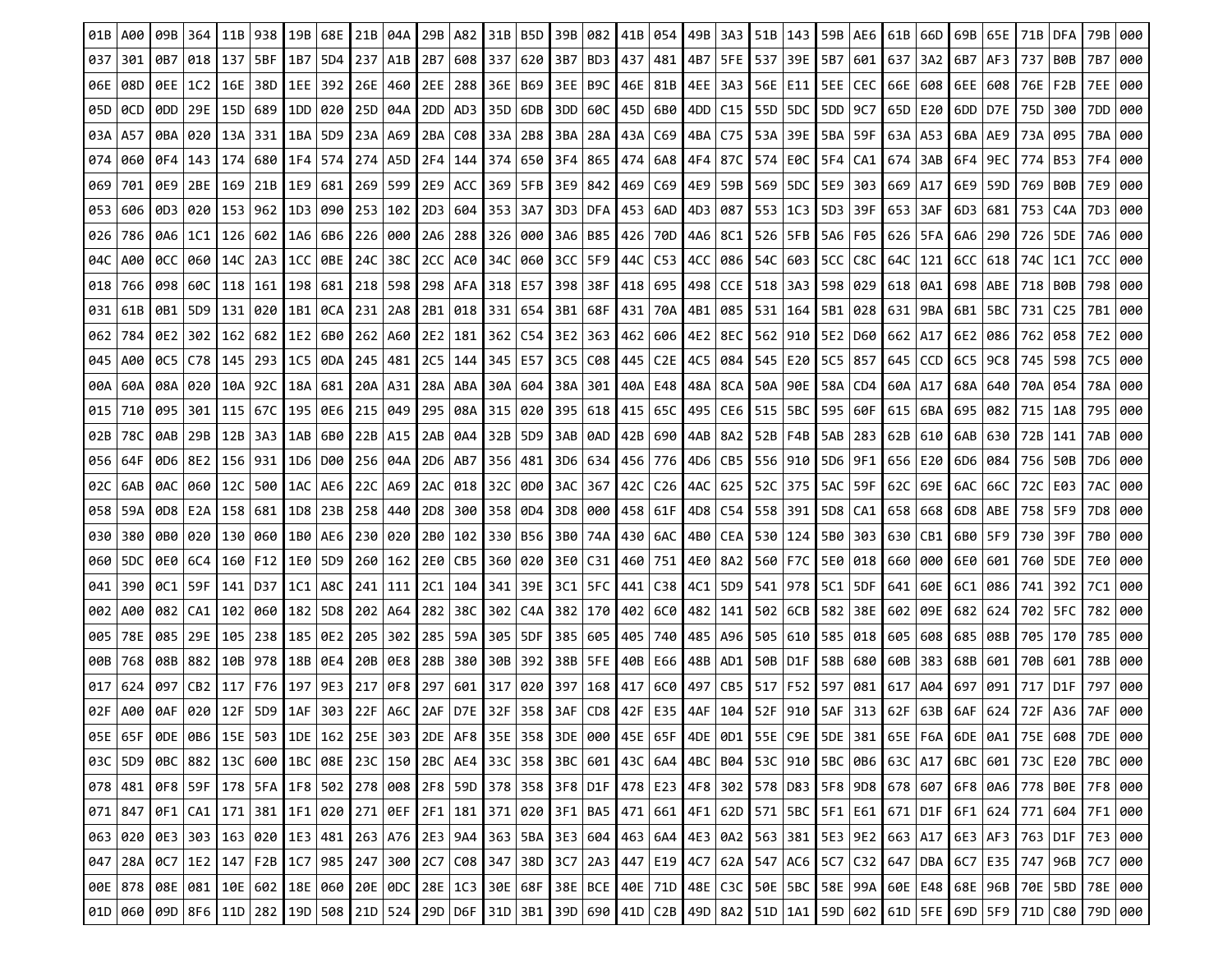| 01B | A00                                                                                                                                                                                                                         | 09B       | 364                   | 11B  | 938                         | 19B | 68E             | 21B   04A |                    |       | 29B   A82       | 31B | B5D                                                                                                                                                                                                                         | 39B       | 082                         |     | 41B 054         | 49B | 3A3 |                | 51B   143                   |     | 59B AE6   | 61B | 66D | 69B   65E   |           | 71B       | DFA       | 79B | 000 |
|-----|-----------------------------------------------------------------------------------------------------------------------------------------------------------------------------------------------------------------------------|-----------|-----------------------|------|-----------------------------|-----|-----------------|-----------|--------------------|-------|-----------------|-----|-----------------------------------------------------------------------------------------------------------------------------------------------------------------------------------------------------------------------------|-----------|-----------------------------|-----|-----------------|-----|-----|----------------|-----------------------------|-----|-----------|-----|-----|-------------|-----------|-----------|-----------|-----|-----|
| 037 | 301                                                                                                                                                                                                                         | 0B7       | 018                   | 137  | 5BF                         | 1B7 | 5D4             | 237       | A1B                | 2B7   | 608 I           | 337 | 620                                                                                                                                                                                                                         | 3B7       | BD3                         | 437 | 481             | 4B7 |     |                | 5FE   537   39E             | 5B7 | 601   637 |     | 3A2 | 6B7   AF3   |           | 737       | B0B       | 7B7 | 000 |
| 06E | 08D                                                                                                                                                                                                                         | 0EE   1C2 |                       | 16E  | 38D   1EE                   |     | 392             | 26E   460 |                    | 2EE   | 288             | 36E | B69                                                                                                                                                                                                                         |           | 3EE   B9C                   |     | 46E   81B       | 4EE | 3A3 | 56E   E11      |                             | 5EE | CEC       | 66E | 608 | 6EE   608   |           | 76E       | F2B       | 7EE | 000 |
| 05D | 0CD                                                                                                                                                                                                                         |           | 0DD   29E   15D   689 |      |                             | 1DD | 020             | 25D   04A |                    |       | 2DD   AD3       | 35D | 6DB                                                                                                                                                                                                                         |           | 3DD   60C                   |     | 45D   6B0   4DD |     |     |                | C <sub>15</sub>   55D   5DC |     | 5DD 9C7   | 65D | E20 | 6DD   D7E   |           | 75D       | 300       | 7DD | 000 |
| 03A | A57                                                                                                                                                                                                                         | 0BA       | 020                   | 13A  | 331                         | 1BA | 5D9             | 23A   A69 |                    | 2BA   | C08             | 33A | 2B8                                                                                                                                                                                                                         |           | 3BA   28A                   | 43A | C69             | 4BA | C75 |                | 53A   39E                   | 5BA | 59F       | 63A | A53 | 6BA   AE9   |           | 73A       | 095       | 7BA | 000 |
| 074 | 060                                                                                                                                                                                                                         |           |                       |      | 0F4   143   174   680   1F4 |     | 574             |           | 274   A5D <b> </b> | 2F4 l | 144   374       |     | 650                                                                                                                                                                                                                         | 3F4   865 |                             |     | 474   6A8   4F4 |     | 87C |                | 574   E0C   5F4   CA1   674 |     |           |     | 3AB | 6F4   9EC   |           | 774       | B53       | 7F4 | 000 |
| 069 | 701                                                                                                                                                                                                                         |           | 0E9   2BE             | 169  | 21B 11E9                    |     | 681             | 269   599 |                    |       | 2E9 ACC I       | 369 | 5FB                                                                                                                                                                                                                         |           | 3E9   842 <b> </b>          |     | 469   C69   4E9 |     | 59B |                | 569   5DC   5E9             |     | 303       | 669 | A17 |             | 6E9   59D | 769   BØB |           | 7E9 | 000 |
| 053 | 606                                                                                                                                                                                                                         | 0D31020   |                       | 153  | 962                         | 1D3 | 090             | 253 102   |                    | 2D3   | 604             | 353 | 3A7                                                                                                                                                                                                                         | 3D3   DFA |                             |     | 453   6AD       | 4D3 | 087 | $553 \mid 1C3$ |                             | 5D3 | 39F       | 653 | 3AF | 6D3         | 681       | 753       | C4A       | 7D3 | 000 |
| 026 | 786                                                                                                                                                                                                                         | 0A6   1C1 |                       |      | 126   602   1A6             |     | 6B6             |           | 226   000          | 2A6   | 288 I           | 326 | 000                                                                                                                                                                                                                         |           | 3A6   B85                   |     | 426   70D   4A6 |     | 8C1 |                | 526   5FB   5A6   F05       |     |           | 626 | 5FA |             | 6A6   290 | 726       | 5DE       | 7A6 | 000 |
| 04C | A00                                                                                                                                                                                                                         | OCC 1060  |                       | 14C  | 2A3   1CC                   |     | 0BE.            | 24C   38C |                    | 2CC I | AC0 I           | 34C | 060                                                                                                                                                                                                                         | 3CC   5F9 |                             |     | 44C   C53   4CC |     | 086 |                | 54C   603 <b> </b>          |     | 5CC   C8C | 64C | 121 | $6CC$   618 |           | 74C       | 1C1       | 7CC | 000 |
| 018 | 766                                                                                                                                                                                                                         | 098       | 60C                   | 118  | 161 I                       | 198 | 681             | 218 598   |                    | 298   | AFA I           | 318 | E57                                                                                                                                                                                                                         | 398 38F   |                             | 418 | 695             | 498 | CCE | 518 3A3        |                             | 598 | 029       | 618 | 0A1 | 698   ABE   |           | 718       | B0B       | 798 | 000 |
| 031 | 61B                                                                                                                                                                                                                         |           |                       |      | 0B1   5D9   131   020   1B1 |     | 0CA             | 231 2A8   |                    |       | 2B1 018 331     |     | 654                                                                                                                                                                                                                         |           | 3B1   68F   431   70A   4B1 |     |                 |     | 085 |                | 531   164   5B1   028   631 |     |           |     | 9BA | 6B1   5BC   |           | 731       | C25       | 7B1 | 000 |
| 062 | 784                                                                                                                                                                                                                         | 0E21302   |                       |      | 162   682   1E2             |     | 6B0             | 262 A60   |                    | 2E2   | 181             | 362 | C54                                                                                                                                                                                                                         |           | 3E2 363                     |     | 462 606 4E2     |     | 8EC |                | 562   910   5E2   D60       |     |           | 662 | A17 | 6E2   086   |           | 762       | 058       | 7E2 | 000 |
| 045 | A00                                                                                                                                                                                                                         | 0C5   C78 |                       | 145  | -293 I                      | 1C5 | 0DA             | 245 481   |                    | 2C5   | 144             | 345 | E57                                                                                                                                                                                                                         | 3C5 C08   |                             |     | 445   C2E       | 4C5 | 084 |                | 545 E20 I                   | 5C5 | 857       | 645 | CCD | 6C5         | 9C8       | 745       | 598       | 7C5 | 000 |
| 00A | 60A                                                                                                                                                                                                                         |           | 08A 020               |      | 10A   92C   18A             |     | 681             | 20A   A31 |                    |       | $28A$   ABA     | 30A | 604                                                                                                                                                                                                                         | 38A 301   |                             |     | 40A   E48   48A |     | 8CA |                | 50A   90E   58A   CD4       |     |           | 60A | A17 | 68A   640   |           | 70A       | 054       | 78A | 000 |
| 015 | 710                                                                                                                                                                                                                         | 095       | 301                   | 115  | -67C I                      | 195 | 0E6             | 215       | 049                |       | 295   08A       | 315 | 020                                                                                                                                                                                                                         |           | 395 618                     | 415 | 65C             | 495 | CE6 |                | 515   5BC                   | 595 | 60F       | 615 | 6BA | 695         | 082       | 715       | 1A8       | 795 | 000 |
| 02B | 78C                                                                                                                                                                                                                         | 0AB       | 29B                   | 12B  | 3A3                         | 1AB | 6B0             | 22B   A15 |                    | 2AB   | 0A4 I           | 32B | 5D9                                                                                                                                                                                                                         | 3AB   0AD |                             |     | 42B 690 14AB    |     | 8A2 | 52B   F4B      |                             | 5AB | 283       | 62B | 610 | 6AB.        | 630       | 72B       | 141       | 7AB | 000 |
| 056 | 64F                                                                                                                                                                                                                         |           |                       |      | 0D6   8E2   156   931   1D6 |     | <b>D00</b>      | 256   04A |                    |       | 2D6   AB7       | 356 | 481                                                                                                                                                                                                                         |           | 3D6   634 <b> </b>          |     | 456   776   4D6 |     |     |                | CB5   556   910   5D6   9F1 |     |           | 656 | E20 | 6D6   084   |           |           | 756   50B | 7D6 | 000 |
| 02C | 6AB                                                                                                                                                                                                                         | 0AC.      | 060                   | 112C | 500   1AC                   |     | AE6             | 22C   A69 |                    | 2AC I | 018             | 32C | 0D0                                                                                                                                                                                                                         | 3AC   367 |                             |     | 42C   C26   4AC |     | 625 | 52C 375        |                             | 5AC | 59F       | 62C | 69E | 6AC         | 66C       | 72C       | E03       | 7AC | 000 |
| 058 | 59A                                                                                                                                                                                                                         |           |                       |      | 0D8   E2A   158   681       | 1D8 | 23B             | 258 440   |                    | 2D8   | 300 I           | 358 | 0D4                                                                                                                                                                                                                         |           | 3D8   000 <b> </b>          |     | 458   61F       | 4D8 | C54 | 558 391        |                             |     | 5D8   CA1 | 658 | 668 | 6D8   ABE   |           | 7581      | 5F9       | 7D8 | 000 |
| 030 | 380                                                                                                                                                                                                                         |           |                       |      | 0B0   020   130   060   1B0 |     | AE6             | 230 020   |                    |       | 2B0   102   330 |     | B56                                                                                                                                                                                                                         |           | 3B0   74A   430   6AC   4B0 |     |                 |     | CEA |                | 530   124   5B0   303       |     |           | 630 | CB1 | 6B0   5F9   |           | 730       | 39F       | 7B0 | 000 |
| 060 | 5DC                                                                                                                                                                                                                         |           | 0E0   6C4             | 160  | F12 I                       | 1E0 | 5D <sub>9</sub> |           | 260 162            |       | 2E0   CB5       | 360 | 020                                                                                                                                                                                                                         | 3E0   C31 |                             |     | 460 751 4E0     |     | 8A2 |                | 560 F7C                     | 5E0 | 018       | 660 | 000 | 6E0         | 601       | 760       | 5DE       | 7E0 | 000 |
| 041 | 390                                                                                                                                                                                                                         | 0C1   59F |                       |      | 141   D37   1C1             |     | A8C             | 241   111 |                    | 2C1   | 104             | 341 | 39E                                                                                                                                                                                                                         | 3C1   5FC |                             |     | 441   C38   4C1 |     | 5D9 |                | 541 978                     | 5C1 | 5DF       | 641 | 60E | 6C1         | 086       | 741       | 392       | 7C1 | 000 |
| 002 | A00                                                                                                                                                                                                                         |           | 082   CA1             |      | 102   060   182             |     | 5D8             |           | 202 A64            | 282   | 38C I           | 302 | C4A                                                                                                                                                                                                                         |           | 382   170                   |     | 402 60 482      |     | 141 |                | 502   6CB   582             |     | 38E       | 602 | 09E | 682   624   |           | 702       | 5FC       | 782 | 000 |
| 005 | 78E                                                                                                                                                                                                                         | 085       | 29E                   | 105  | 2381                        | 185 | 0E2             | 205 302   |                    | 285   | -59A I          | 305 | 5DF                                                                                                                                                                                                                         | 385   605 |                             |     | 405 740 485     |     | A96 |                | 505   610                   | 585 | 018       | 605 | 608 | 685         | 08B       | 705       | 170       | 785 | 000 |
| 00B | 768                                                                                                                                                                                                                         |           | 08B   882 I           |      | 10B   978   18B             |     | 0E4             | 20B 0E8   |                    |       | 28B 380         | 30B | 392                                                                                                                                                                                                                         | 38B   5FE |                             |     | 40B   E66       | 48B | AD1 |                | 50B D1F                     |     | 58B 680   | 60B | 383 | 68B   601   |           |           | 70B 601   | 78B | 000 |
| 017 | 624                                                                                                                                                                                                                         | 097       | CB <sub>2</sub>       | 117  | F76                         | 197 | 9E3             | 217       | 0F8                | 297   | 601             | 317 | 020                                                                                                                                                                                                                         |           | 397   168   417             |     | 6C0             | 497 | CB5 |                | 517 F52                     | 597 | 081       | 617 | A04 | 697         | 091       | 717       | D1F       | 797 | 000 |
| 02F | A00                                                                                                                                                                                                                         | 0AF       | 020 I                 | 12F  | 5D9   1AF                   |     | 303             | 22F       | A6C                | 2AF   | D7E I           | 32F | 358                                                                                                                                                                                                                         | 3AF       | $CD8$ $42F$                 |     | E35 4AF         |     | 104 |                | 52F   910   5AF             |     | 313       | 62F | 63B | 6AF         | 624       | 72F       | A36       | 7AF | 000 |
|     | 056   056   066   076   076   076   076   076   076   076   076   076   076   076   076   076   076   076   076   076   076   076   077   077   077   077   077   077   077   077   077   077   077   077   077   077   077 |           |                       |      |                             |     |                 |           |                    |       |                 |     |                                                                                                                                                                                                                             |           |                             |     |                 |     |     |                |                             |     |           |     |     |             |           |           |           |     |     |
|     | 03C 5D9                                                                                                                                                                                                                     |           |                       |      |                             |     |                 |           |                    |       |                 |     | 0BC   882   13C   600   1BC   08E   23C   150   2BC   AE4   33C   358   3BC   601   43C   6A4   4BC   B04   53C   910   5BC   0B6   63C   A17   6BC   601   73C   E20   7BC   000                                           |           |                             |     |                 |     |     |                |                             |     |           |     |     |             |           |           |           |     |     |
|     | $078$ 481                                                                                                                                                                                                                   |           |                       |      |                             |     |                 |           |                    |       |                 |     | 0F8   59F   178   5FA   1F8   502   278   008   2F8   59D   378   358   3F8   D1F   478   E23   4F8   302   578   D83   5F8   9D8   678   607   6F8   0A6   778   80E   7F8   000                                           |           |                             |     |                 |     |     |                |                             |     |           |     |     |             |           |           |           |     |     |
|     | $071$ 847                                                                                                                                                                                                                   |           |                       |      |                             |     |                 |           |                    |       |                 |     | 000   171   182   172   183   172   183   172   184   185   187   187   187   187   187   188   187   188   187   188   187   188   187   188   187   188   187   188   188   188   188   188   188   188   188   188   188 |           |                             |     |                 |     |     |                |                             |     |           |     |     |             |           |           |           |     |     |
|     | 063 020                                                                                                                                                                                                                     |           |                       |      |                             |     |                 |           |                    |       |                 |     | 0E3   303   163   020   1E3   481   263   A76   2E3   9A4   363   5BA   3E3   604   463   6A4   4E3   0A2   563   381   5E3   9E2   663   A17   6E3   AF3   763   D1F   7E3   000                                           |           |                             |     |                 |     |     |                |                             |     |           |     |     |             |           |           |           |     |     |
|     | $047$ 28A                                                                                                                                                                                                                   |           |                       |      |                             |     |                 |           |                    |       |                 |     | 0C7   1E2   147   F2B   1C7   985   247   300   2C7   C08   347   38D   3C7   2A3   447   E19   4C7   62A   547   AC6   5C7   C32   647   DBA   6C7   E35   747   96B   7C7   000                                           |           |                             |     |                 |     |     |                |                             |     |           |     |     |             |           |           |           |     |     |
|     | 006 878 086 081 106 602 186 060 206 000 286 103 306 686 386 806 108 100 486 710 486 200 506 506 507 508 090 606 648 686 998 108 508 0786 500 786 000                                                                        |           |                       |      |                             |     |                 |           |                    |       |                 |     |                                                                                                                                                                                                                             |           |                             |     |                 |     |     |                |                             |     |           |     |     |             |           |           |           |     |     |
|     | 010   060   090   8F6   110   282   190   508   210   524   290   D6F   310   3B1   390   690   410   C2B   490   8A2   510   1A1   59D   602   610   5FE   690   5F9   710   C80   790   000                               |           |                       |      |                             |     |                 |           |                    |       |                 |     |                                                                                                                                                                                                                             |           |                             |     |                 |     |     |                |                             |     |           |     |     |             |           |           |           |     |     |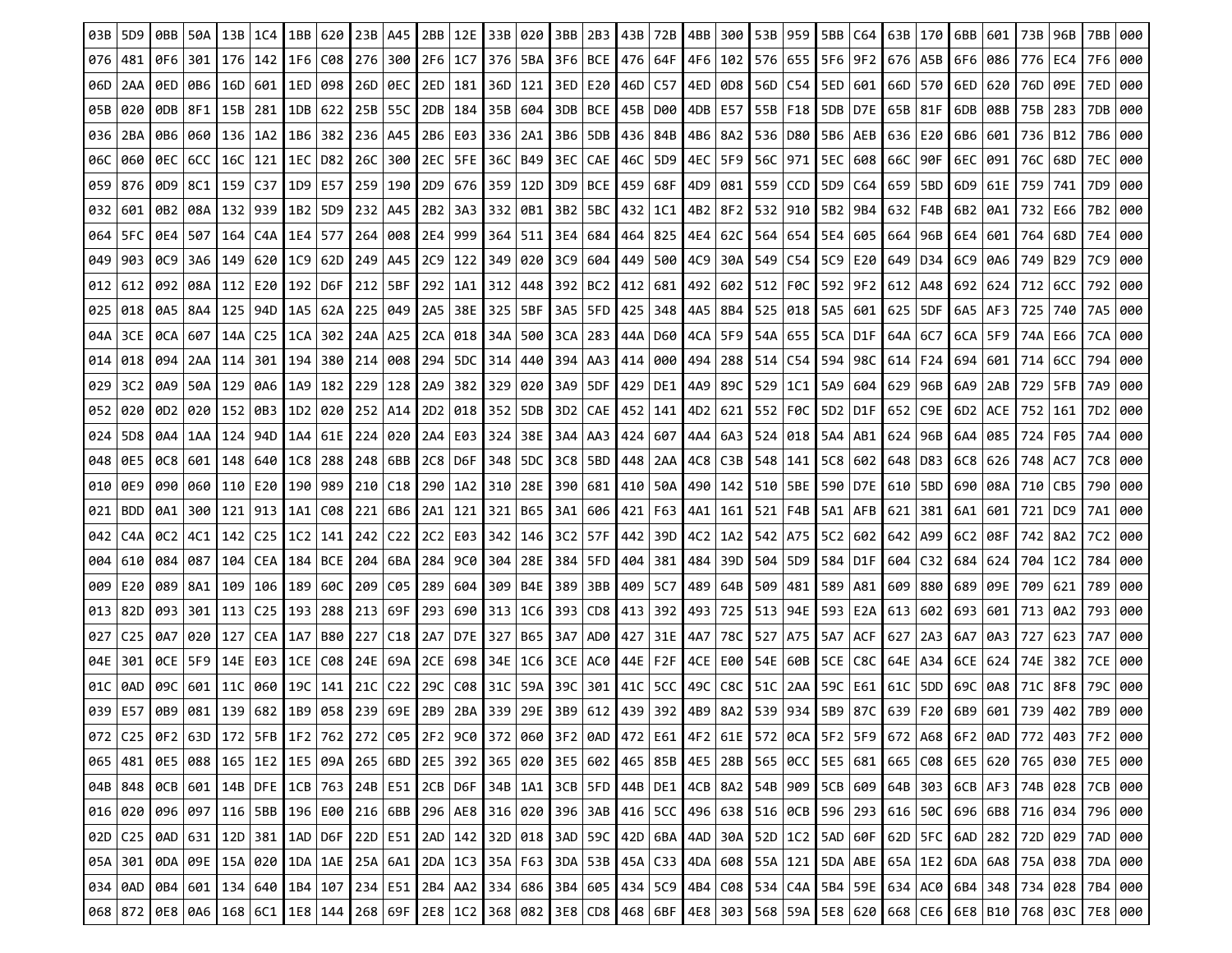| 03B                   | 5D <sub>9</sub> |                    | 50A             | 13B     | 1C4                                       | 1BB       | 620        | 23B I     | A45                | 2BB             | 12E              | 33B | 020                                                                                                                                                                                                                   | 3BB 2B3   |                        | 43B | 72B                               | 4BB       | 300 | 53B 959     |                       | 5BB | C64             | 63B | 170 | 6BB         | 601       | 73B       | 96B             | 7BB | 000 |
|-----------------------|-----------------|--------------------|-----------------|---------|-------------------------------------------|-----------|------------|-----------|--------------------|-----------------|------------------|-----|-----------------------------------------------------------------------------------------------------------------------------------------------------------------------------------------------------------------------|-----------|------------------------|-----|-----------------------------------|-----------|-----|-------------|-----------------------|-----|-----------------|-----|-----|-------------|-----------|-----------|-----------------|-----|-----|
| 076                   | 481             | 0F6                | 301             | 176     | 142   1F6                                 |           | C08        | 276 300   |                    | 2F6             | 1C7   376        |     | 5BA                                                                                                                                                                                                                   | 3F6   BCE |                        |     | 476   64F                         | 4F6       |     |             | 102   576   655       |     | 5F6 9F2 676     |     | A5B | 6F6         | 086       |           | 776   EC4       | 7F6 | 000 |
| 06D                   | 2AA             |                    | 0ED   0B6       | 16D     | 601   1ED                                 |           | 098        | 26D   0EC |                    | 2ED             | 181 I            | 36D | 121                                                                                                                                                                                                                   |           | 3ED   E20 <b> </b>     | 46D | C57                               | 4ED       | 0D8 |             | 56D   C54             | 5ED | 601             | 66D | 570 | 6ED         | 620       | 76D       | 09E             | 7ED | 000 |
| 05B                   | 020             | 0DB 8F1            |                 |         | 15B   281                                 | 1DB       | 622        | 25B   55C |                    |                 | 2DB   184        | 35B | 604                                                                                                                                                                                                                   |           | 3DB   BCE              |     | 45B   D00                         | 4DB       | E57 |             | 55B   F18             |     | 5DB   D7E   65B |     | 81F | 6DB I       | 08B       |           | 75B 283         | 7DB | 000 |
| 036                   | 2BA             | 0B6 I              | 060             | 136     |                                           | 1A2   1B6 | 382        | 236 A45   |                    |                 | 2B6 E03 336      |     | 2A1                                                                                                                                                                                                                   | 3B6   5DB |                        |     | 436   84B                         | 4B6   8A2 |     | 536   D80   |                       |     | 5B6   AEB       | 636 | E20 | 6B6 601     |           |           | 736   B12       | 7B6 | 000 |
| 06C                   | 060             | <b>OEC   6CC  </b> |                 | 16C     | 121   1EC                                 |           | D82        |           | 26C 300 I          | 2EC I           | 5FE I            | 36C | B49                                                                                                                                                                                                                   |           |                        |     | 3EC   CAE   46C   5D9   4EC       |           | 5F9 |             | 56C   971             |     | 5EC 608 66C     |     | 90F | 6EC   091   |           | 76C       | 68D             | 7EC | 000 |
| 059                   | 876             | 0D9   8C1          |                 | 159 C37 |                                           | 1D9       | E57        | 259   190 |                    |                 | 2D9 676 359      |     | 12D                                                                                                                                                                                                                   |           | 3D9   BCE              |     | 459   68F                         | 4D9       | 081 |             | 559 CCD 15D9 C64      |     |                 | 659 | 5BD | 6D9   61E   |           | 759       | 741             | 7D9 | 000 |
| 032                   | 601             | 0B2                | 08A             | 132     | 939                                       | 1B2       | 5D9        | 232       | A45                | 2B <sub>2</sub> | 3A3 I            | 332 | 0B1                                                                                                                                                                                                                   |           | $3B2$   5BC            | 432 | 1C1                               | 4B2       | 8F2 |             | 532 910 1             | 5B2 | 9B4             | 632 | F4B | 6B2         | 0A1       | 732       | E66             | 7B2 | 000 |
| 064                   | 5FC             | 0E4   507          |                 |         | 164   C4A   1E4                           |           | 577        | 264 008   |                    |                 | 2E4   999        | 364 | 511                                                                                                                                                                                                                   |           | 3E4   684 <b> </b>     |     | 464   825   4E4                   |           | 62C |             | 564   654   5E4   605 |     |                 | 664 | 96B | 6E4   601   |           | 764       | 68D             | 7E4 | 000 |
| 049                   | 903             | 0C9   3A6          |                 |         | 149 620 1109                              |           | 62D        | 249   A45 |                    | 2C9             | 122              | 349 | 020                                                                                                                                                                                                                   |           | l 3C9   604            |     | 449   500   4C9                   |           | 30A |             | 549   C54   5C9   E20 |     |                 | 649 | D34 |             | 6C9   0A6 |           | 749 B29         | 7C9 | 000 |
| 012                   | 612             | 092                | 08A             | 112     | E20 I                                     | 192       | D6F        | 212   5BF |                    | 292             | 1A1 I            | 312 | 448                                                                                                                                                                                                                   | 392   BC2 |                        | 412 | 681                               | 492       | 602 | 512   FØC   |                       | 592 | 9F <sub>2</sub> | 612 | A48 | 692         | 624       | 712       | 6CC             | 792 | 000 |
| 025                   | 018             | 0A5   8A4          |                 | 125     | 94D I 1A5                                 |           | 62A        | 225   049 |                    | 2A5             | 38E I            | 325 | 5BF                                                                                                                                                                                                                   |           | 3A5   5FD <b> </b> 425 |     | 348   4A5                         |           | 8B4 |             | 525 018               | 5A5 | 601   625       |     | 5DF |             | 6A5   AF3 | 725       | 740             | 7A5 | 000 |
| 04A                   | 3CE             | 0CA                | 607             | 14A     | C25                                       | 1CA       | 302        | 24A A25   |                    | 2CA             | ∣018 I           | 34A | 500                                                                                                                                                                                                                   | 3CA   283 |                        |     | 44A   D60   4CA                   |           | 5F9 | 54A   655   |                       |     | 5CA D1F         | 64A | 6C7 | $6CA$   5F9 |           | 74A       | E66             | 7CA | 000 |
| 014                   | 018             | 094                | 2AA             | 114     | 301                                       | 194       | 380        | 214 008   |                    | 294             | 5DC I            | 314 | 440                                                                                                                                                                                                                   | 394   AA3 |                        | 414 | 000                               | 494       | 288 | $514$   C54 |                       | 594 | 98C             | 614 | F24 | 694         | 601       | 714       | 6CC             | 794 | 000 |
| 029                   | 3C <sub>2</sub> |                    | 0A9   50A   129 |         | 0A6 I 1A9                                 |           | 182        | 229 128   |                    | 2A9             | 3821             | 329 | 020                                                                                                                                                                                                                   |           | 3A9   5DF              |     | 429   DE1   4A9                   |           | 89C | 529 1C1     |                       | 5A9 | 604             | 629 | 96B | 6A9   2AB   |           | 729       | 5FB             | 7A9 | 000 |
| 052                   | 020             | 0D <sub>2</sub>    | 020             |         | 152   0B3                                 | 1D2       | 020        | 252   A14 |                    |                 | 2D2   018        | 352 | 5DB                                                                                                                                                                                                                   | 3D2   CAE |                        | 452 | 141                               | 4D2       | 621 |             | 552 F0C               |     | 5D2 D1F         | 652 | C9E | 6D2   ACE   |           | 752       | 161             | 7D2 | 000 |
| 024                   | 5D <sub>8</sub> | 0A4   1AA          |                 | 124     | 94D I                                     | 1A4       | 61E        | 224 020   |                    | 2A4             | E03 I            | 324 | 38E                                                                                                                                                                                                                   | 3A4   AA3 |                        |     | 424 607                           | 4A4       | 6A3 | 524 018     |                       | 5A4 | AB1             | 624 | 96B | 6A4   085   |           |           | 724   F05       | 7A4 | 000 |
| 048                   | 0E5             |                    |                 |         | 0C8 601 148 640 1028                      |           | 288        |           | 248   6BB <b> </b> |                 | 2C8   D6F        | 348 |                                                                                                                                                                                                                       |           | 5DC   3C8   5BD        |     | 448   2AA   4C8                   |           | C3B |             | 548   141   5C8   602 |     |                 | 648 | D83 | $6C8$   626 |           | 748   AC7 |                 | 7C8 | 000 |
| 010                   | 0E9             | 090                | 060             | 110     | E20                                       | 190       | 989        | 210 C18   |                    |                 | 290   1A2        | 310 | 28E                                                                                                                                                                                                                   | 390   681 |                        |     | 410   50A   490                   |           | 142 |             | 510   5BE             |     | 590 D7E         | 610 | 5BD | 690         | 08A       | 710   CB5 |                 | 790 | 000 |
| 021                   | <b>BDD</b>      | 0A1   300          |                 | 121     | 913                                       | 1A1       | C08        |           | 221 6B6            | 2A1             | 121 I            | 321 | B65                                                                                                                                                                                                                   |           | 3A1   606              |     | 421   F63                         | 4A1       | 161 |             | 521   F4B             |     | $5A1$   AFB     | 621 | 381 | 6A1.        | 601       | 721       | DC <sub>9</sub> | 7A1 | 000 |
| 042                   | C4A             | 0C2   4C1          |                 |         | $142$   C <sub>25</sub>   1C <sub>2</sub> |           | 141        |           | 242 C22            | 2C2             | E03   342        |     | 146                                                                                                                                                                                                                   | 3C2   57F |                        |     | 442 39D 4C2                       |           | 1A2 | 542   A75   |                       |     | 5C2 602 642     |     | A99 | 6C2 08F     |           |           | 742   8A2       | 7C2 | 000 |
| 004                   | 610             | 084                | 087             | 104     | CEA   184                                 |           | <b>BCE</b> | 204   6BA |                    | 284             | 9C0 I            | 304 | 28E                                                                                                                                                                                                                   |           | 384   5FD              | 404 | 381   484                         |           | 39D | 504   5D9   |                       | 584 | D1F             | 604 | C32 | 684         | 624       | 704       | 1C2             | 784 | 000 |
| 009                   | E20             | 089   8A1          |                 | 109     | 106 I                                     | 189       | 60C        | 209 C05   |                    |                 | 289 604          | 309 | B4E                                                                                                                                                                                                                   | 389   3BB |                        | 409 | 5C7                               | 489       | 64B | 509 481     |                       | 589 | A81             | 609 | 880 | 689         | 09E       | 709       | 621             | 789 | 000 |
| 013                   | 82D             | 093 301            |                 |         | $113$   C <sub>25</sub>                   | 193       | 288        | 213 69F   |                    |                 | 293   690   313  |     |                                                                                                                                                                                                                       |           |                        |     | 1C6   393   CD8   413   392   493 |           |     |             | 725   513   94E       |     | 593   E2A   613 |     | 602 | 693 601     |           |           | 713   0A2       | 793 | 000 |
| 027                   | C <sub>25</sub> | 0A7                | 020             | 127     | CEA I                                     | 1A7       | B80        | 227 C18   |                    | 2A7             | D7E <sub>I</sub> | 327 | B65                                                                                                                                                                                                                   |           | 3A7   AD0 <b> </b>     | 427 | 31E I                             | 4A7       | 78C | 527   A75   |                       | 5A7 | ACF             | 627 | 2A3 | 6A7         | 0A3       | 727       | 623             | 7A7 | 000 |
| 04E                   | 301             | <b>OCE 15F9</b>    |                 | 14E I   | l E03 l                                   | 1CE       | C08        |           | 24E   69A          |                 | 2CE   698        | 34E | 1C6                                                                                                                                                                                                                   |           | 3CE   AC0              |     | 44E   F2F                         | 4CE       | E00 |             | 54E   60B             | 5CE | C8C             | 64E | A34 | 6CE         | 624       | 74E       | 382             | 7CE | 000 |
| 01C                   | 0AD             | 09C I              | 601             | 11C     | 060 I 19C                                 |           | 141        | 21C       | C22                | 29C l           | C08 I            | 31C | 59A                                                                                                                                                                                                                   | 39C 301   |                        | 41C | 5CC                               | 49C       | C8C |             | 51C   2AA   59C       |     | E61             | 61C | 5DD | 69C         | 0A8       | 71C       | 8F8             | 79C | 000 |
| 039                   | E57             | 0B9                | 081             | 139     | 682                                       | 1B9       | 058        |           | 239 69E            | 2B9             | 2BA 339          |     | 29E                                                                                                                                                                                                                   |           | 3B9   612 <b> </b>     | 439 | 392 4B9                           |           | 8A2 |             | 539 934               | 5B9 | 87C I           | 639 | F20 | 6B9         | 601       | 739       | 402             |     | 000 |
|                       |                 |                    |                 |         |                                           |           |            |           |                    |                 |                  |     | 072   C25   0F2   63D   172   5FB   1F2   762   272   C05   2F2   9C0   372   060   3F2   0AD   472   E61   4F2   6IE   572   0CA   5F2   5F9   672   A68   6F2   0AD   772   403   7F2   000                         |           |                        |     |                                   |           |     |             |                       |     |                 |     |     |             |           |           |                 |     |     |
|                       |                 |                    |                 |         |                                           |           |            |           |                    |                 |                  |     | 065   481   0E5   088   165   1E2   1E5   09A   265   6BD   2E5   392   365   020   3E5   602   465  858   4E5   28B   565   0CC   5E5   681   665   C08   6E5   620   765   030   7E5   000   7E5   000              |           |                        |     |                                   |           |     |             |                       |     |                 |     |     |             |           |           |                 |     |     |
|                       |                 |                    |                 |         |                                           |           |            |           |                    |                 |                  |     | 04B 848 0CB 601 14B DFE 1CB 763 24B E51 2CB D6F 34B 1A1 3CB 5FD 44B DE1 4CB 8A2 54B 909 5CB 609 64B 303 6CB AF3 74B 028 7CB 000                                                                                       |           |                        |     |                                   |           |     |             |                       |     |                 |     |     |             |           |           |                 |     |     |
|                       |                 |                    |                 |         |                                           |           |            |           |                    |                 |                  |     | 016 020 096 097 116 58B 196 E00 216 68B 296 AE8 316 020 396 3AB 416 5CC 496 638 516 0CB 596 293 616 500 696 688 716 034 796 000                                                                                       |           |                        |     |                                   |           |     |             |                       |     |                 |     |     |             |           |           |                 |     |     |
| $02D$ C <sub>25</sub> |                 |                    |                 |         |                                           |           |            |           |                    |                 |                  |     | 0AD   631   12D   381   1AD   D6F   22D   E51   2AD   142   32D   018   3AD   59C   42D   6BA   4AD   30A   52D   1C2   5AD   60F   62D   5FC   6AD   282   72D   029   7AD   000                                     |           |                        |     |                                   |           |     |             |                       |     |                 |     |     |             |           |           |                 |     |     |
| 05A 301               |                 |                    |                 |         |                                           |           |            |           |                    |                 |                  |     | 0DA 09E 15A 020 1DA 1AE 25A 6A1 2DA 1C3 35A F63 3DA 53B 45A C33 4DA 608 55A 121 5DA ABE 65A 1E2 6DA 6A8 75A 038 7DA 000                                                                                               |           |                        |     |                                   |           |     |             |                       |     |                 |     |     |             |           |           |                 |     |     |
|                       | 034   0AD       |                    |                 |         |                                           |           |            |           |                    |                 |                  |     | 084   601   134   640   184   107   234   E51   284   AA2   334   686   384   605   434   5C9   4B4   C08   534   C4A   5B4   59E   634   AC0   6B4   348   734   028   7B4   000   6B4   348   734   028   7B4   000 |           |                        |     |                                   |           |     |             |                       |     |                 |     |     |             |           |           |                 |     |     |
|                       |                 |                    |                 |         |                                           |           |            |           |                    |                 |                  |     | 068   872   0E8   0A6   168   6C1   1E8   144   268   69F   2E8   1C2   368   082   3E8   CD8   468   6BF   4E8   303   568   59A   5E8   620   668   CE6   6E8   810   768   03C   7E8   000                         |           |                        |     |                                   |           |     |             |                       |     |                 |     |     |             |           |           |                 |     |     |